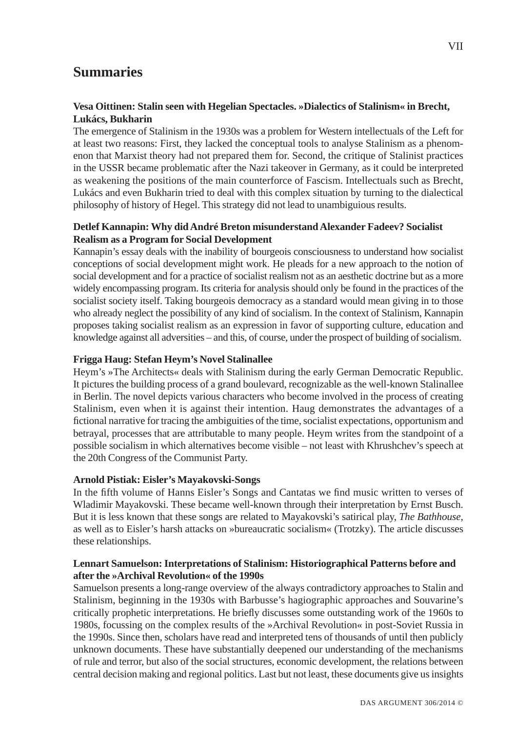# **Summaries**

## **Vesa Oittinen: Stalin seen with Hegelian Spectacles. »Dialectics of Stalinism« in Brecht, Lukács, Bukharin**

The emergence of Stalinism in the 1930s was a problem for Western intellectuals of the Left for at least two reasons: First, they lacked the conceptual tools to analyse Stalinism as a phenomenon that Marxist theory had not prepared them for. Second, the critique of Stalinist practices in the USSR became problematic after the Nazi takeover in Germany, as it could be interpreted as weakening the positions of the main counterforce of Fascism. Intellectuals such as Brecht, Lukács and even Bukharin tried to deal with this complex situation by turning to the dialectical philosophy of history of Hegel. This strategy did not lead to unambiguious results.

## **Detlef Kannapin: Why did André Breton misunderstand Alexander Fadeev? Socialist Realism as a Program for Social Development**

Kannapin's essay deals with the inability of bourgeois consciousness to understand how socialist conceptions of social development might work. He pleads for a new approach to the notion of social development and for a practice of socialist realism not as an aesthetic doctrine but as a more widely encompassing program. Its criteria for analysis should only be found in the practices of the socialist society itself. Taking bourgeois democracy as a standard would mean giving in to those who already neglect the possibility of any kind of socialism. In the context of Stalinism, Kannapin proposes taking socialist realism as an expression in favor of supporting culture, education and knowledge against all adversities – and this, of course, under the prospect of building of socialism.

## **Frigga Haug: Stefan Heym's Novel Stalinallee**

Heym's »The Architects« deals with Stalinism during the early German Democratic Republic. It pictures the building process of a grand boulevard, recognizable as the well-known Stalinallee in Berlin. The novel depicts various characters who become involved in the process of creating Stalinism, even when it is against their intention. Haug demonstrates the advantages of a fictional narrative for tracing the ambiguities of the time, socialist expectations, opportunism and betrayal, processes that are attributable to many people. Heym writes from the standpoint of a possible socialism in which alternatives become visible – not least with Khrushchev's speech at the 20th Congress of the Communist Party.

#### **Arnold Pistiak: Eisler's Mayakovski-Songs**

In the fifth volume of Hanns Eisler's Songs and Cantatas we find music written to verses of Wladimir Mayakovski. These became well-known through their interpretation by Ernst Busch. But it is less known that these songs are related to Mayakovski's satirical play, *The Bathhouse*, as well as to Eisler's harsh attacks on »bureaucratic socialism« (Trotzky). The article discusses these relationships.

### **Lennart Samuelson: Interpretations of Stalinism: Historiographical Patterns before and after the »Archival Revolution« of the 1990s**

Samuelson presents a long-range overview of the always contradictory approaches to Stalin and Stalinism, beginning in the 1930s with Barbusse's hagiographic approaches and Souvarine's critically prophetic interpretations. He briefly discusses some outstanding work of the 1960s to 1980s, focussing on the complex results of the »Archival Revolution« in post-Soviet Russia in the 1990s. Since then, scholars have read and interpreted tens of thousands of until then publicly unknown documents. These have substantially deepened our understanding of the mechanisms of rule and terror, but also of the social structures, economic development, the relations between central decision making and regional politics. Last but not least, these documents give us insights